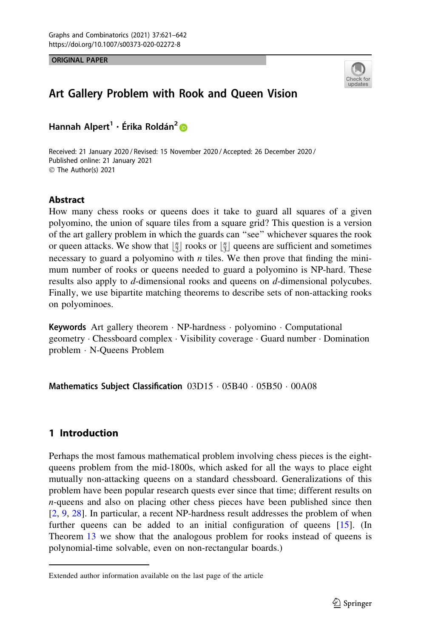ORIGINAL PAPER



# Art Gallery Problem with Rook and Queen Vision

Hannah Alpert<sup>1</sup> · Érika Roldán<sup>2</sup> D

Received: 21 January 2020 / Revised: 15 November 2020 / Accepted: 26 December 2020 / Published online: 21 January 2021  $\circledcirc$  The Author(s) 2021

### Abstract

How many chess rooks or queens does it take to guard all squares of a given polyomino, the union of square tiles from a square grid? This question is a version of the art gallery problem in which the guards can ''see'' whichever squares the rook or queen attacks. We show that  $\lfloor \frac{n}{2} \rfloor$  rooks or  $\lfloor \frac{n}{3} \rfloor$  queens are sufficient and sometimes necessary to guard a polyomino with *n* tiles. We then prove that finding the minimum number of rooks or queens needed to guard a polyomino is NP-hard. These results also apply to d-dimensional rooks and queens on d-dimensional polycubes. Finally, we use bipartite matching theorems to describe sets of non-attacking rooks on polyominoes.

Keywords Art gallery theorem · NP-hardness · polyomino · Computational geometry - Chessboard complex - Visibility coverage - Guard number - Domination problem - N-Queens Problem

Mathematics Subject Classification  $03D15 \cdot 05B40 \cdot 05B50 \cdot 00A08$ 

## 1 Introduction

Perhaps the most famous mathematical problem involving chess pieces is the eightqueens problem from the mid-1800s, which asked for all the ways to place eight mutually non-attacking queens on a standard chessboard. Generalizations of this problem have been popular research quests ever since that time; different results on n-queens and also on placing other chess pieces have been published since then [\[2](#page-20-0), [9,](#page-20-0) [28](#page-21-0)]. In particular, a recent NP-hardness result addresses the problem of when further queens can be added to an initial configuration of queens [[15\]](#page-21-0). (In Theorem [13](#page-15-0) we show that the analogous problem for rooks instead of queens is polynomial-time solvable, even on non-rectangular boards.)

Extended author information available on the last page of the article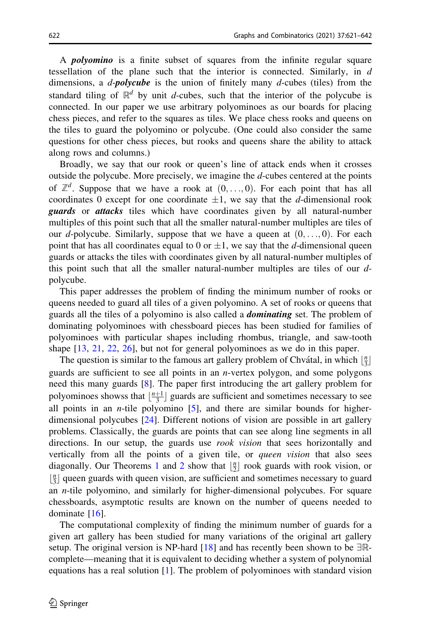A polyomino is a finite subset of squares from the infinite regular square tessellation of the plane such that the interior is connected. Similarly, in  $d$ dimensions, a  $d$ -polycube is the union of finitely many  $d$ -cubes (tiles) from the standard tiling of  $\mathbb{R}^d$  by unit d-cubes, such that the interior of the polycube is connected. In our paper we use arbitrary polyominoes as our boards for placing chess pieces, and refer to the squares as tiles. We place chess rooks and queens on the tiles to guard the polyomino or polycube. (One could also consider the same questions for other chess pieces, but rooks and queens share the ability to attack along rows and columns.)

Broadly, we say that our rook or queen's line of attack ends when it crosses outside the polycube. More precisely, we imagine the d-cubes centered at the points of  $\mathbb{Z}^d$ . Suppose that we have a rook at  $(0, \ldots, 0)$ . For each point that has all coordinates 0 except for one coordinate  $\pm 1$ , we say that the d-dimensional rook **guards** or **attacks** tiles which have coordinates given by all natural-number multiples of this point such that all the smaller natural-number multiples are tiles of our d-polycube. Similarly, suppose that we have a queen at  $(0, \ldots, 0)$ . For each point that has all coordinates equal to 0 or  $\pm 1$ , we say that the d-dimensional queen guards or attacks the tiles with coordinates given by all natural-number multiples of this point such that all the smaller natural-number multiples are tiles of our dpolycube.

This paper addresses the problem of finding the minimum number of rooks or queens needed to guard all tiles of a given polyomino. A set of rooks or queens that guards all the tiles of a polyomino is also called a *dominating* set. The problem of dominating polyominoes with chessboard pieces has been studied for families of polyominoes with particular shapes including rhombus, triangle, and saw-tooth shape [\[13](#page-20-0), [21](#page-21-0), [22](#page-21-0), [26\]](#page-21-0), but not for general polyominoes as we do in this paper.

The question is similar to the famous art gallery problem of Chvátal, in which  $\left\lfloor \frac{n}{3} \right\rfloor$ guards are sufficient to see all points in an n-vertex polygon, and some polygons need this many guards [[8\]](#page-20-0). The paper first introducing the art gallery problem for polyominoes showss that  $\lfloor \frac{n+1}{3} \rfloor$  guards are sufficient and sometimes necessary to see all points in an *n*-tile polyomino  $[5]$  $[5]$ , and there are similar bounds for higherdimensional polycubes [[24\]](#page-21-0). Different notions of vision are possible in art gallery problems. Classically, the guards are points that can see along line segments in all directions. In our setup, the guards use *rook vision* that sees horizontally and vertically from all the points of a given tile, or *queen vision* that also sees diagonally. Our Theorems [1](#page-2-0) and [2](#page-2-0) show that  $\lfloor \frac{n}{2} \rfloor$  rook guards with rook vision, or  $\lfloor \frac{n}{3} \rfloor$  queen guards with queen vision, are sufficient and sometimes necessary to guard an n-tile polyomino, and similarly for higher-dimensional polycubes. For square chessboards, asymptotic results are known on the number of queens needed to dominate [[16\]](#page-21-0).

The computational complexity of finding the minimum number of guards for a given art gallery has been studied for many variations of the original art gallery setup. The original version is NP-hard [[18\]](#page-21-0) and has recently been shown to be  $\exists \mathbb{R}$ complete—meaning that it is equivalent to deciding whether a system of polynomial equations has a real solution  $[1]$  $[1]$ . The problem of polyominoes with standard vision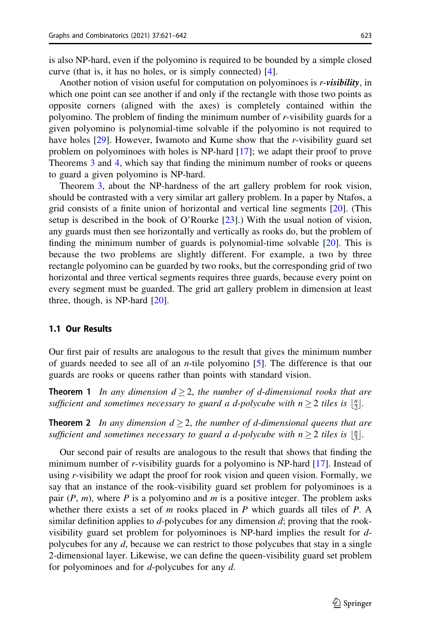<span id="page-2-0"></span>is also NP-hard, even if the polyomino is required to be bounded by a simple closed curve (that is, it has no holes, or is simply connected) [\[4](#page-20-0)].

Another notion of vision useful for computation on polyominoes is r-visibility, in which one point can see another if and only if the rectangle with those two points as opposite corners (aligned with the axes) is completely contained within the polyomino. The problem of finding the minimum number of  $r$ -visibility guards for a given polyomino is polynomial-time solvable if the polyomino is not required to have holes  $[29]$  $[29]$ . However, Iwamoto and Kume show that the r-visibility guard set problem on polyominoes with holes is NP-hard [[17\]](#page-21-0); we adapt their proof to prove Theorems [3](#page-3-0) and [4,](#page-3-0) which say that finding the minimum number of rooks or queens to guard a given polyomino is NP-hard.

Theorem [3,](#page-3-0) about the NP-hardness of the art gallery problem for rook vision, should be contrasted with a very similar art gallery problem. In a paper by Ntafos, a grid consists of a finite union of horizontal and vertical line segments [[20\]](#page-21-0). (This setup is described in the book of O'Rourke [\[23](#page-21-0)].) With the usual notion of vision, any guards must then see horizontally and vertically as rooks do, but the problem of finding the minimum number of guards is polynomial-time solvable [\[20](#page-21-0)]. This is because the two problems are slightly different. For example, a two by three rectangle polyomino can be guarded by two rooks, but the corresponding grid of two horizontal and three vertical segments requires three guards, because every point on every segment must be guarded. The grid art gallery problem in dimension at least three, though, is NP-hard [[20\]](#page-21-0).

#### 1.1 Our Results

Our first pair of results are analogous to the result that gives the minimum number of guards needed to see all of an *n*-tile polyomino  $[5]$  $[5]$ . The difference is that our guards are rooks or queens rather than points with standard vision.

**Theorem 1** In any dimension  $d \geq 2$ , the number of d-dimensional rooks that are sufficient and sometimes necessary to guard a d-polycube with  $n \geq 2$  tiles is  $\lfloor \frac{n}{2} \rfloor$ .

**Theorem 2** In any dimension  $d \geq 2$ , the number of d-dimensional queens that are sufficient and sometimes necessary to guard a d-polycube with  $n \geq 2$  tiles is  $\lfloor \frac{n}{3} \rfloor$ .

Our second pair of results are analogous to the result that shows that finding the minimum number of r-visibility guards for a polyomino is NP-hard [[17\]](#page-21-0). Instead of using r-visibility we adapt the proof for rook vision and queen vision. Formally, we say that an instance of the rook-visibility guard set problem for polyominoes is a pair  $(P, m)$ , where P is a polyomino and m is a positive integer. The problem asks whether there exists a set of  $m$  rooks placed in  $P$  which guards all tiles of  $P$ . A similar definition applies to  $d$ -polycubes for any dimension  $d$ ; proving that the rookvisibility guard set problem for polyominoes is NP-hard implies the result for dpolycubes for any d, because we can restrict to those polycubes that stay in a single 2-dimensional layer. Likewise, we can define the queen-visibility guard set problem for polyominoes and for d-polycubes for any d.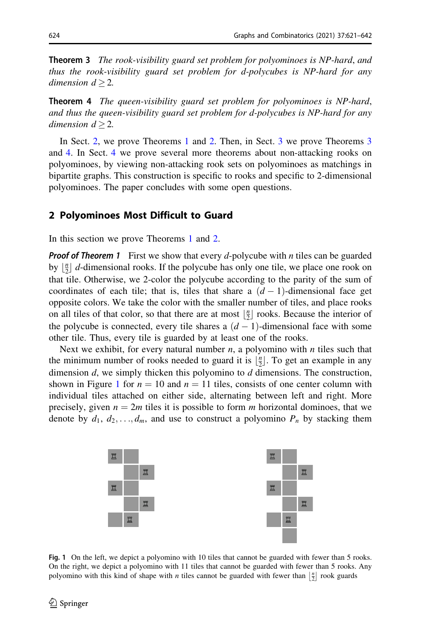<span id="page-3-0"></span>**Theorem 3** The rook-visibility guard set problem for polyominoes is NP-hard, and thus the rook-visibility guard set problem for d-polycubes is NP-hard for any dimension  $d > 2$ .

Theorem 4 The queen-visibility guard set problem for polyominoes is NP-hard, and thus the queen-visibility guard set problem for d-polycubes is NP-hard for any dimension  $d > 2$ .

In Sect. 2, we prove Theorems [1](#page-2-0) and [2.](#page-2-0) Then, in Sect. [3](#page-6-0) we prove Theorems 3 and 4. In Sect. [4](#page-13-0) we prove several more theorems about non-attacking rooks on polyominoes, by viewing non-attacking rook sets on polyominoes as matchings in bipartite graphs. This construction is specific to rooks and specific to 2-dimensional polyominoes. The paper concludes with some open questions.

#### 2 Polyominoes Most Difficult to Guard

In this section we prove Theorems [1](#page-2-0) and [2.](#page-2-0)

**Proof of Theorem 1** First we show that every d-polycube with  $n$  tiles can be guarded by  $\lfloor \frac{n}{2} \rfloor$  d-dimensional rooks. If the polycube has only one tile, we place one rook on that tile. Otherwise, we 2-color the polycube according to the parity of the sum of coordinates of each tile; that is, tiles that share a  $(d-1)$ -dimensional face get opposite colors. We take the color with the smaller number of tiles, and place rooks on all tiles of that color, so that there are at most  $\left\lfloor \frac{n}{2} \right\rfloor$  rooks. Because the interior of the polycube is connected, every tile shares a  $(d-1)$ -dimensional face with some other tile. Thus, every tile is guarded by at least one of the rooks.

Next we exhibit, for every natural number  $n$ , a polyomino with  $n$  tiles such that the minimum number of rooks needed to guard it is  $\lfloor \frac{n}{2} \rfloor$ . To get an example in any dimension d, we simply thicken this polyomino to d dimensions. The construction, shown in Figure 1 for  $n = 10$  and  $n = 11$  tiles, consists of one center column with individual tiles attached on either side, alternating between left and right. More precisely, given  $n = 2m$  tiles it is possible to form m horizontal dominoes, that we denote by  $d_1, d_2, \ldots, d_m$ , and use to construct a polyomino  $P_n$  by stacking them



Fig. 1 On the left, we depict a polyomino with 10 tiles that cannot be guarded with fewer than 5 rooks. On the right, we depict a polyomino with 11 tiles that cannot be guarded with fewer than 5 rooks. Any polyomino with this kind of shape with *n* tiles cannot be guarded with fewer than  $\left[\frac{n}{2}\right]$  rook guards polyomino with this kind of shape with *n* tiles cannot be guarded with fewer than  $\left[\frac{n}{2}\right]$  rook guards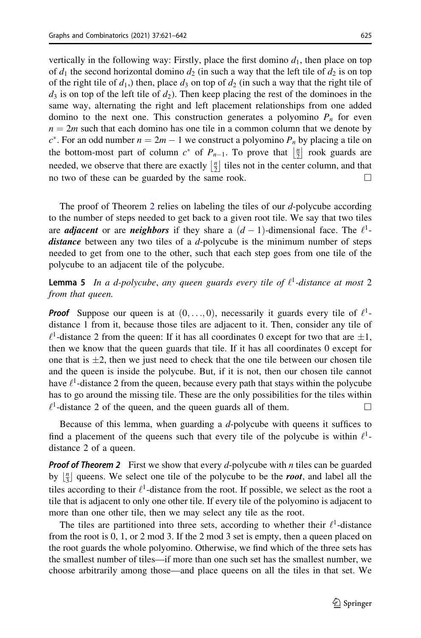<span id="page-4-0"></span>vertically in the following way: Firstly, place the first domino  $d_1$ , then place on top of  $d_1$  the second horizontal domino  $d_2$  (in such a way that the left tile of  $d_2$  is on top of the right tile of  $d_1$ ,) then, place  $d_3$  on top of  $d_2$  (in such a way that the right tile of  $d_3$  is on top of the left tile of  $d_2$ ). Then keep placing the rest of the dominoes in the same way, alternating the right and left placement relationships from one added domino to the next one. This construction generates a polyomino  $P_n$  for even  $n = 2m$  such that each domino has one tile in a common column that we denote by  $c^*$ . For an odd number  $n = 2m - 1$  we construct a polyomino  $P_n$  by placing a tile on the bottom-most part of column  $c^*$  of  $P_{n-1}$ . To prove that  $\frac{n}{2}$  $\left\lfloor \frac{n}{2} \right\rfloor$  rook guards are needed, we observe that there are exactly  $\frac{n}{2}$  $\left|\frac{n}{2}\right|$  tiles not in the center column, and that no two of these can be guarded by the same rook.  $\Box$ 

The proof of Theorem [2](#page-2-0) relies on labeling the tiles of our d-polycube according to the number of steps needed to get back to a given root tile. We say that two tiles are *adjacent* or are *neighbors* if they share a  $(d-1)$ -dimensional face. The  $l^1$ distance between any two tiles of a d-polycube is the minimum number of steps needed to get from one to the other, such that each step goes from one tile of the polycube to an adjacent tile of the polycube.

**Lemma 5** In a d-polycube, any queen guards every tile of  $\ell^1$ -distance at most 2 from that queen.

**Proof** Suppose our queen is at  $(0, \ldots, 0)$ , necessarily it guards every tile of  $\ell^1$ distance 1 from it, because those tiles are adjacent to it. Then, consider any tile of  $\ell^1$ -distance 2 from the queen: If it has all coordinates 0 except for two that are  $\pm 1$ , then we know that the queen guards that tile. If it has all coordinates 0 except for one that is  $\pm 2$ , then we just need to check that the one tile between our chosen tile and the queen is inside the polycube. But, if it is not, then our chosen tile cannot have  $\ell^1$ -distance 2 from the queen, because every path that stays within the polycube has to go around the missing tile. These are the only possibilities for the tiles within  $\ell^1$ -distance 2 of the queen, and the queen guards all of them.

Because of this lemma, when guarding a d-polycube with queens it suffices to find a placement of the queens such that every tile of the polycube is within  $\ell^1$ distance 2 of a queen.

**Proof of Theorem 2** First we show that every d-polycube with n tiles can be guarded by  $\lfloor \frac{n}{3} \rfloor$  queens. We select one tile of the polycube to be the **root**, and label all the tiles according to their  $\ell^1$ -distance from the root. If possible, we select as the root a tile that is adjacent to only one other tile. If every tile of the polyomino is adjacent to more than one other tile, then we may select any tile as the root.

The tiles are partitioned into three sets, according to whether their  $\ell^1$ -distance from the root is 0, 1, or 2 mod 3. If the 2 mod 3 set is empty, then a queen placed on the root guards the whole polyomino. Otherwise, we find which of the three sets has the smallest number of tiles—if more than one such set has the smallest number, we choose arbitrarily among those—and place queens on all the tiles in that set. We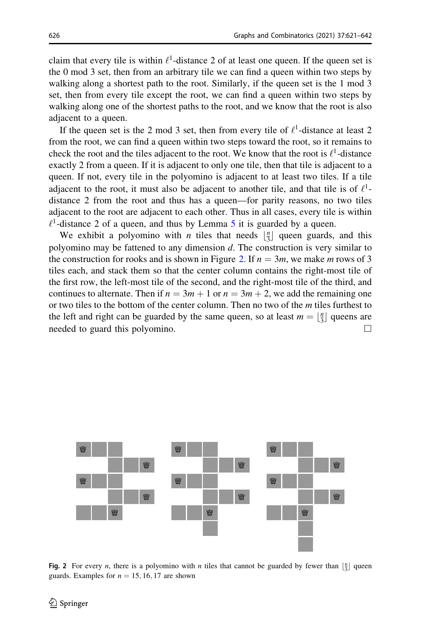claim that every tile is within  $\ell^1$ -distance 2 of at least one queen. If the queen set is the 0 mod 3 set, then from an arbitrary tile we can find a queen within two steps by walking along a shortest path to the root. Similarly, if the queen set is the 1 mod 3 set, then from every tile except the root, we can find a queen within two steps by walking along one of the shortest paths to the root, and we know that the root is also adjacent to a queen.

If the queen set is the 2 mod 3 set, then from every tile of  $\ell^1$ -distance at least 2 from the root, we can find a queen within two steps toward the root, so it remains to check the root and the tiles adjacent to the root. We know that the root is  $\ell^1$ -distance exactly 2 from a queen. If it is adjacent to only one tile, then that tile is adjacent to a queen. If not, every tile in the polyomino is adjacent to at least two tiles. If a tile adiacent to the root, it must also be adiacent to another tile, and that tile is of  $\ell^1$ distance 2 from the root and thus has a queen—for parity reasons, no two tiles adjacent to the root are adjacent to each other. Thus in all cases, every tile is within  $\ell^1$ -distance 2 of a queen, and thus by Lemma [5](#page-4-0) it is guarded by a queen.

We exhibit a polyomino with *n* tiles that needs  $\lfloor \frac{n}{3} \rfloor$  queen guards, and this polyomino may be fattened to any dimension  $d$ . The construction is very similar to the construction for rooks and is shown in Figure 2. If  $n = 3m$ , we make m rows of 3 tiles each, and stack them so that the center column contains the right-most tile of the first row, the left-most tile of the second, and the right-most tile of the third, and continues to alternate. Then if  $n = 3m + 1$  or  $n = 3m + 2$ , we add the remaining one or two tiles to the bottom of the center column. Then no two of the m tiles furthest to the left and right can be guarded by the same queen, so at least  $m = \lfloor \frac{n}{3} \rfloor$  queens are needed to guard this polyomino.  $\Box$ 



Fig. 2 For every *n*, there is a polyomino with *n* tiles that cannot be guarded by fewer than  $\frac{n}{3}$  queen guards. Examples for  $n = 15, 16, 17$  are shown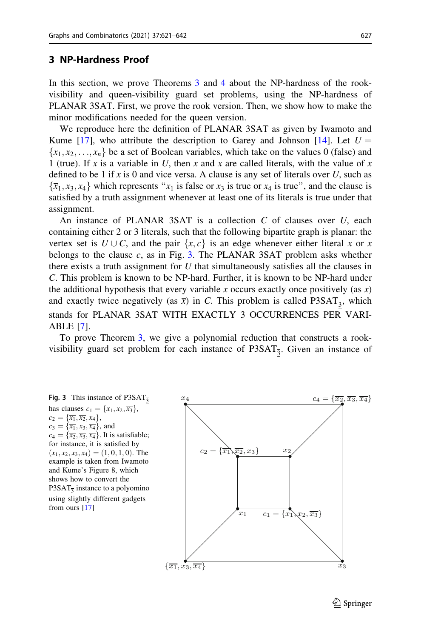#### <span id="page-6-0"></span>3 NP-Hardness Proof

In this section, we prove Theorems [3](#page-3-0) and [4](#page-3-0) about the NP-hardness of the rookvisibility and queen-visibility guard set problems, using the NP-hardness of PLANAR 3SAT. First, we prove the rook version. Then, we show how to make the minor modifications needed for the queen version.

We reproduce here the definition of PLANAR 3SAT as given by Iwamoto and Kume [\[17](#page-21-0)], who attribute the description to Garey and Johnson [[14\]](#page-21-0). Let  $U =$  $\{x_1, x_2, \ldots, x_n\}$  be a set of Boolean variables, which take on the values 0 (false) and 1 (true). If x is a variable in U, then x and  $\bar{x}$  are called literals, with the value of  $\bar{x}$ defined to be 1 if x is 0 and vice versa. A clause is any set of literals over U, such as  $\{\overline{x}_1, x_3, x_4\}$  which represents " $x_1$  is false or  $x_3$  is true or  $x_4$  is true", and the clause is satisfied by a truth assignment whenever at least one of its literals is true under that assignment.

An instance of PLANAR 3SAT is a collection  $C$  of clauses over  $U$ , each containing either 2 or 3 literals, such that the following bipartite graph is planar: the vertex set is  $U \cup C$ , and the pair  $\{x, c\}$  is an edge whenever either literal x or  $\overline{x}$ belongs to the clause  $c$ , as in Fig. 3. The PLANAR 3SAT problem asks whether there exists a truth assignment for  $U$  that simultaneously satisfies all the clauses in C. This problem is known to be NP-hard. Further, it is known to be NP-hard under the additional hypothesis that every variable x occurs exactly once positively (as  $x$ ) and exactly twice negatively (as  $\bar{x}$ ) in C. This problem is called P3SAT<sub>3</sub>, which stands for PLANAR 3SAT WITH EXACTLY 3 OCCURRENCES PER VARI-ABLE [[7\]](#page-20-0).

To prove Theorem [3](#page-3-0), we give a polynomial reduction that constructs a rookvisibility guard set problem for each instance of  $P3SAT_{\overline{3}}$ . Given an instance of

has clauses  $c_1 = \{x_1, x_2, \overline{x_3}\},\,$  $c_2 = {\overline{x_1}, \overline{x_2}, x_4},$  $c_3 = {\overline{x_1}, x_3, \overline{x_4}}$ , and  $c_4 = {\overline{x_2}, \overline{x_3}, \overline{x_4}}$ . It is satisfiable; for instance, it is satisfied by  $(x_1, x_2, x_3, x_4) = (1, 0, 1, 0)$ . The example is taken from Iwamoto and Kume's Figure 8, which shows how to convert the P3SAT $_3$  instance to a polyomino using slightly different gadgets from ours [\[17](#page-21-0)]



 $\circledcirc$  Springer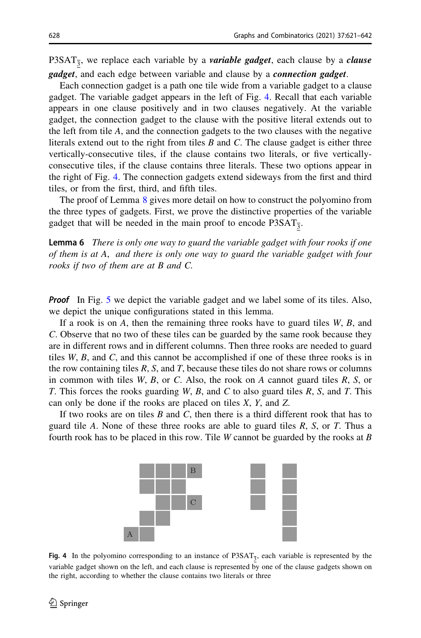<span id="page-7-0"></span>P3SAT<sub>3</sub>, we replace each variable by a *variable gadget*, each clause by a *clause gadget*, and each edge between variable and clause by a *connection gadget*.

Each connection gadget is a path one tile wide from a variable gadget to a clause gadget. The variable gadget appears in the left of Fig. 4. Recall that each variable appears in one clause positively and in two clauses negatively. At the variable gadget, the connection gadget to the clause with the positive literal extends out to the left from tile  $A$ , and the connection gadgets to the two clauses with the negative literals extend out to the right from tiles  $B$  and  $C$ . The clause gadget is either three vertically-consecutive tiles, if the clause contains two literals, or five verticallyconsecutive tiles, if the clause contains three literals. These two options appear in the right of Fig. 4. The connection gadgets extend sideways from the first and third tiles, or from the first, third, and fifth tiles.

The proof of Lemma [8](#page-8-0) gives more detail on how to construct the polyomino from the three types of gadgets. First, we prove the distinctive properties of the variable gadget that will be needed in the main proof to encode  $P3SAT_{\overline{3}}$ .

Lemma 6 There is only one way to guard the variable gadget with four rooks if one of them is at A, and there is only one way to guard the variable gadget with four rooks if two of them are at B and C.

**Proof** In Fig. [5](#page-8-0) we depict the variable gadget and we label some of its tiles. Also, we depict the unique configurations stated in this lemma.

If a rook is on  $A$ , then the remaining three rooks have to guard tiles  $W$ ,  $B$ , and C. Observe that no two of these tiles can be guarded by the same rook because they are in different rows and in different columns. Then three rooks are needed to guard tiles W, B, and C, and this cannot be accomplished if one of these three rooks is in the row containing tiles  $R$ ,  $S$ , and  $T$ , because these tiles do not share rows or columns in common with tiles  $W$ ,  $B$ , or  $C$ . Also, the rook on  $A$  cannot guard tiles  $R$ ,  $S$ , or T. This forces the rooks guarding W, B, and C to also guard tiles R, S, and T. This can only be done if the rooks are placed on tiles X, Y, and Z.

If two rooks are on tiles  $B$  and  $C$ , then there is a third different rook that has to guard tile A. None of these three rooks are able to guard tiles  $R$ ,  $S$ , or  $T$ . Thus a fourth rook has to be placed in this row. Tile  $W$  cannot be guarded by the rooks at  $B$ 



Fig. 4 In the polyomino corresponding to an instance of P3SAT<sub>3</sub>, each variable is represented by the variable gadget shown on the left, and each clause is represented by one of the clause gadgets shown on the right, according to whether the clause contains two literals or three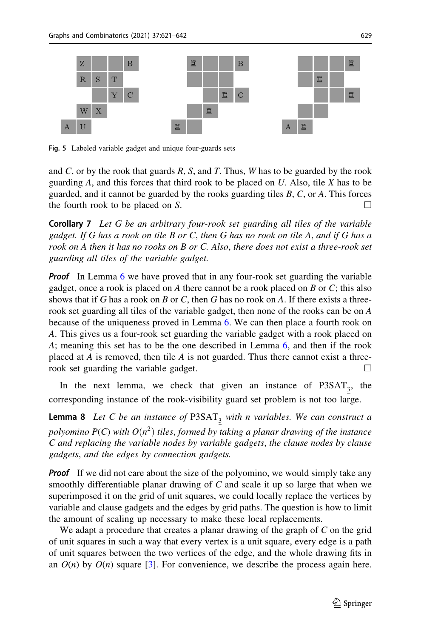<span id="page-8-0"></span>

Fig. 5 Labeled variable gadget and unique four-guards sets

and C, or by the rook that guards  $R$ ,  $S$ , and  $T$ . Thus,  $W$  has to be guarded by the rook guarding  $A$ , and this forces that third rook to be placed on  $U$ . Also, tile  $X$  has to be guarded, and it cannot be guarded by the rooks guarding tiles  $B$ ,  $C$ , or  $A$ . This forces the fourth rook to be placed on S.  $\Box$ 

**Corollary 7** Let G be an arbitrary four-rook set guarding all tiles of the variable gadget. If G has a rook on tile B or C, then G has no rook on tile A, and if G has a rook on A then it has no rooks on B or C. Also, there does not exist a three-rook set guarding all tiles of the variable gadget.

**Proof** In Lemma [6](#page-7-0) we have proved that in any four-rook set guarding the variable gadget, once a rook is placed on A there cannot be a rook placed on  $B$  or  $C$ ; this also shows that if G has a rook on B or C, then G has no rook on A. If there exists a threerook set guarding all tiles of the variable gadget, then none of the rooks can be on A because of the uniqueness proved in Lemma [6](#page-7-0). We can then place a fourth rook on A. This gives us a four-rook set guarding the variable gadget with a rook placed on A; meaning this set has to be the one described in Lemma [6](#page-7-0), and then if the rook placed at A is removed, then tile A is not guarded. Thus there cannot exist a threerook set guarding the variable gadget.  $\Box$ 

In the next lemma, we check that given an instance of  $P_3$ SAT<sub>3</sub>, the corresponding instance of the rook-visibility guard set problem is not too large.

**Lemma 8** Let C be an instance of P3SAT<sub>3</sub> with n variables. We can construct a polyomino  $P(C)$  with  $O(n^2)$  tiles, formed by taking a planar drawing of the instance C and replacing the variable nodes by variable gadgets, the clause nodes by clause gadgets, and the edges by connection gadgets.

**Proof** If we did not care about the size of the polyomino, we would simply take any smoothly differentiable planar drawing of  $C$  and scale it up so large that when we superimposed it on the grid of unit squares, we could locally replace the vertices by variable and clause gadgets and the edges by grid paths. The question is how to limit the amount of scaling up necessary to make these local replacements.

We adapt a procedure that creates a planar drawing of the graph of C on the grid of unit squares in such a way that every vertex is a unit square, every edge is a path of unit squares between the two vertices of the edge, and the whole drawing fits in an  $O(n)$  by  $O(n)$  square [[3\]](#page-20-0). For convenience, we describe the process again here.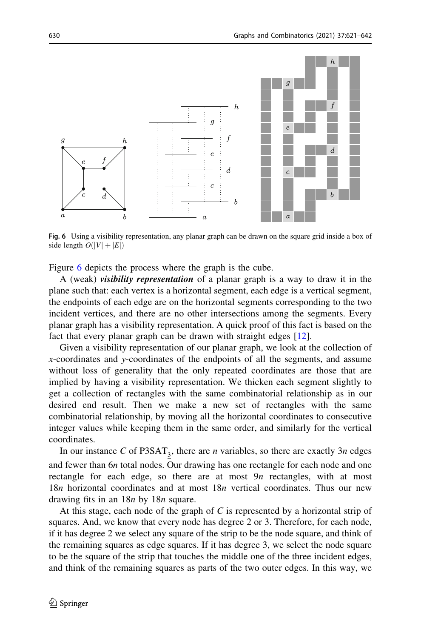

Fig. 6 Using a visibility representation, any planar graph can be drawn on the square grid inside a box of side length  $O(|V|+|E|)$ 

Figure 6 depicts the process where the graph is the cube.

A (weak) visibility representation of a planar graph is a way to draw it in the plane such that: each vertex is a horizontal segment, each edge is a vertical segment, the endpoints of each edge are on the horizontal segments corresponding to the two incident vertices, and there are no other intersections among the segments. Every planar graph has a visibility representation. A quick proof of this fact is based on the fact that every planar graph can be drawn with straight edges [\[12](#page-20-0)].

Given a visibility representation of our planar graph, we look at the collection of x-coordinates and y-coordinates of the endpoints of all the segments, and assume without loss of generality that the only repeated coordinates are those that are implied by having a visibility representation. We thicken each segment slightly to get a collection of rectangles with the same combinatorial relationship as in our desired end result. Then we make a new set of rectangles with the same combinatorial relationship, by moving all the horizontal coordinates to consecutive integer values while keeping them in the same order, and similarly for the vertical coordinates.

In our instance C of P3SAT<sub>3</sub>, there are *n* variables, so there are exactly 3*n* edges and fewer than 6n total nodes. Our drawing has one rectangle for each node and one rectangle for each edge, so there are at most  $9n$  rectangles, with at most 18n horizontal coordinates and at most 18n vertical coordinates. Thus our new drawing fits in an 18*n* by 18*n* square.

At this stage, each node of the graph of  $C$  is represented by a horizontal strip of squares. And, we know that every node has degree 2 or 3. Therefore, for each node, if it has degree 2 we select any square of the strip to be the node square, and think of the remaining squares as edge squares. If it has degree 3, we select the node square to be the square of the strip that touches the middle one of the three incident edges, and think of the remaining squares as parts of the two outer edges. In this way, we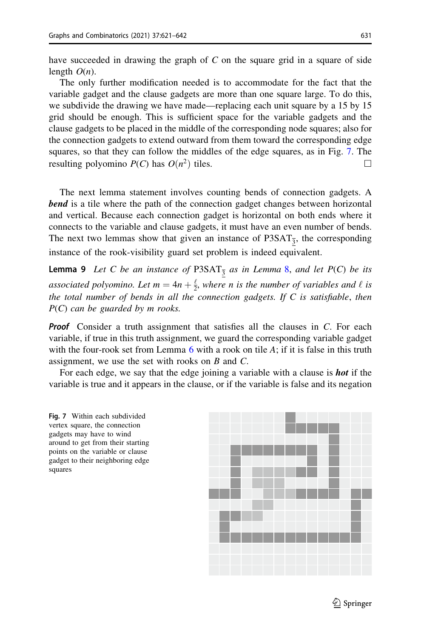<span id="page-10-0"></span>have succeeded in drawing the graph of  $C$  on the square grid in a square of side length  $O(n)$ .

The only further modification needed is to accommodate for the fact that the variable gadget and the clause gadgets are more than one square large. To do this, we subdivide the drawing we have made—replacing each unit square by a 15 by 15 grid should be enough. This is sufficient space for the variable gadgets and the clause gadgets to be placed in the middle of the corresponding node squares; also for the connection gadgets to extend outward from them toward the corresponding edge squares, so that they can follow the middles of the edge squares, as in Fig. 7. The resulting polyomino  $P(C)$  has  $O(n^2)$  tiles.

The next lemma statement involves counting bends of connection gadgets. A **bend** is a tile where the path of the connection gadget changes between horizontal and vertical. Because each connection gadget is horizontal on both ends where it connects to the variable and clause gadgets, it must have an even number of bends. The next two lemmas show that given an instance of  $P3SAT_{\overline{3}}$ , the corresponding instance of the rook-visibility guard set problem is indeed equivalent.

**Lemma 9** Let C be an instance of P3SAT<sub>3</sub> as in Lemma [8](#page-8-0), and let  $P(C)$  be its associated polyomino. Let  $m = 4n + \frac{\ell}{2}$ , where n is the number of variables and  $\ell$  is the total number of bends in all the connection gadgets. If  $C$  is satisfiable, then  $P(C)$  can be guarded by m rooks.

**Proof** Consider a truth assignment that satisfies all the clauses in  $C$ . For each variable, if true in this truth assignment, we guard the corresponding variable gadget with the four-rook set from Lemma  $6$  with a rook on tile  $A$ ; if it is false in this truth assignment, we use the set with rooks on B and C.

For each edge, we say that the edge joining a variable with a clause is **hot** if the variable is true and it appears in the clause, or if the variable is false and its negation



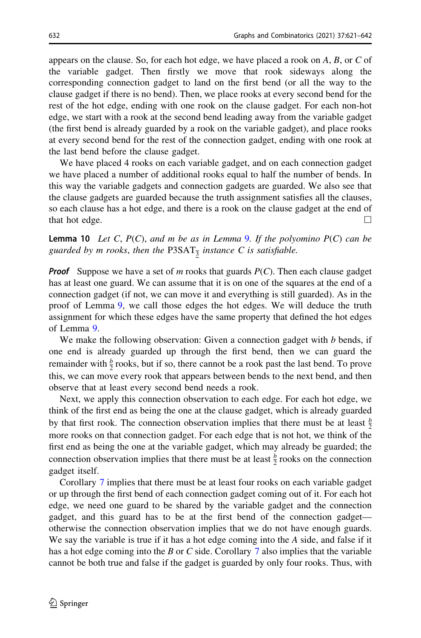<span id="page-11-0"></span>appears on the clause. So, for each hot edge, we have placed a rook on  $A$ ,  $B$ , or  $C$  of the variable gadget. Then firstly we move that rook sideways along the corresponding connection gadget to land on the first bend (or all the way to the clause gadget if there is no bend). Then, we place rooks at every second bend for the rest of the hot edge, ending with one rook on the clause gadget. For each non-hot edge, we start with a rook at the second bend leading away from the variable gadget (the first bend is already guarded by a rook on the variable gadget), and place rooks at every second bend for the rest of the connection gadget, ending with one rook at the last bend before the clause gadget.

We have placed 4 rooks on each variable gadget, and on each connection gadget we have placed a number of additional rooks equal to half the number of bends. In this way the variable gadgets and connection gadgets are guarded. We also see that the clause gadgets are guarded because the truth assignment satisfies all the clauses, so each clause has a hot edge, and there is a rook on the clause gadget at the end of that hot edge.  $\Box$ 

**Lemma 10** Let C,  $P(C)$ , and m be as in Lemma [9](#page-10-0). If the polyomino  $P(C)$  can be guarded by m rooks, then the P3SAT $_{\overline{3}}$  instance C is satisfiable.

**Proof** Suppose we have a set of m rooks that guards  $P(C)$ . Then each clause gadget has at least one guard. We can assume that it is on one of the squares at the end of a connection gadget (if not, we can move it and everything is still guarded). As in the proof of Lemma [9,](#page-10-0) we call those edges the hot edges. We will deduce the truth assignment for which these edges have the same property that defined the hot edges of Lemma [9.](#page-10-0)

We make the following observation: Given a connection gadget with  $b$  bends, if one end is already guarded up through the first bend, then we can guard the remainder with  $\frac{b}{2}$  rooks, but if so, there cannot be a rook past the last bend. To prove this, we can move every rook that appears between bends to the next bend, and then observe that at least every second bend needs a rook.

Next, we apply this connection observation to each edge. For each hot edge, we think of the first end as being the one at the clause gadget, which is already guarded by that first rook. The connection observation implies that there must be at least  $\frac{b}{2}$ more rooks on that connection gadget. For each edge that is not hot, we think of the first end as being the one at the variable gadget, which may already be guarded; the connection observation implies that there must be at least  $\frac{b}{2}$  rooks on the connection gadget itself.

Corollary [7](#page-8-0) implies that there must be at least four rooks on each variable gadget or up through the first bend of each connection gadget coming out of it. For each hot edge, we need one guard to be shared by the variable gadget and the connection gadget, and this guard has to be at the first bend of the connection gadget otherwise the connection observation implies that we do not have enough guards. We say the variable is true if it has a hot edge coming into the A side, and false if it has a hot edge coming into the B or C side. Corollary  $7$  also implies that the variable cannot be both true and false if the gadget is guarded by only four rooks. Thus, with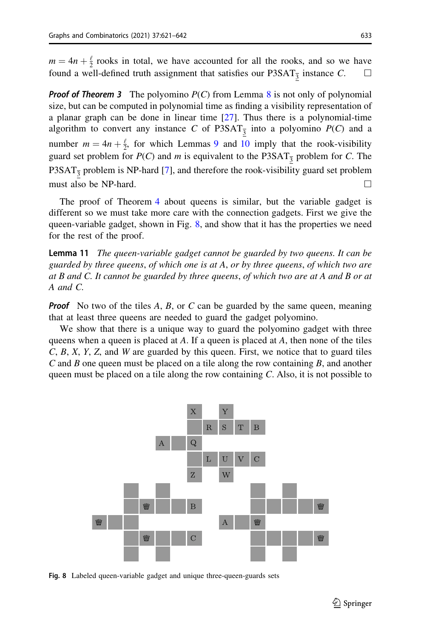$m = 4n + \frac{\ell}{2}$  rooks in total, we have accounted for all the rooks, and so we have found a well-defined truth assignment that satisfies our P3SAT<sub>3</sub> instance C.  $\Box$ 

**Proof of Theorem 3** The polyomino  $P(C)$  from Lemma [8](#page-8-0) is not only of polynomial size, but can be computed in polynomial time as finding a visibility representation of a planar graph can be done in linear time [\[27](#page-21-0)]. Thus there is a polynomial-time algorithm to convert any instance C of P3SAT<sub>3</sub> into a polyomino  $P(C)$  and a number  $m = 4n + \frac{\ell}{2}$ , for which Lemmas [9](#page-10-0) and [10](#page-11-0) imply that the rook-visibility guard set problem for  $P(C)$  and m is equivalent to the P3SAT<sub>3</sub> problem for C. The P3SAT $_3$  problem is NP-hard [[7\]](#page-20-0), and therefore the rook-visibility guard set problem must also be NP-hard.  $\Box$ 

The proof of Theorem [4](#page-3-0) about queens is similar, but the variable gadget is different so we must take more care with the connection gadgets. First we give the queen-variable gadget, shown in Fig. 8, and show that it has the properties we need for the rest of the proof.

**Lemma 11** The queen-variable gadget cannot be guarded by two queens. It can be guarded by three queens, of which one is at A, or by three queens, of which two are at B and C. It cannot be guarded by three queens, of which two are at A and B or at A and C.

**Proof** No two of the tiles A, B, or C can be guarded by the same queen, meaning that at least three queens are needed to guard the gadget polyomino.

We show that there is a unique way to guard the polyomino gadget with three queens when a queen is placed at A. If a queen is placed at A, then none of the tiles  $C, B, X, Y, Z$ , and W are guarded by this queen. First, we notice that to guard tiles C and B one queen must be placed on a tile along the row containing  $B$ , and another queen must be placed on a tile along the row containing  $C$ . Also, it is not possible to



Fig. 8 Labeled queen-variable gadget and unique three-queen-guards sets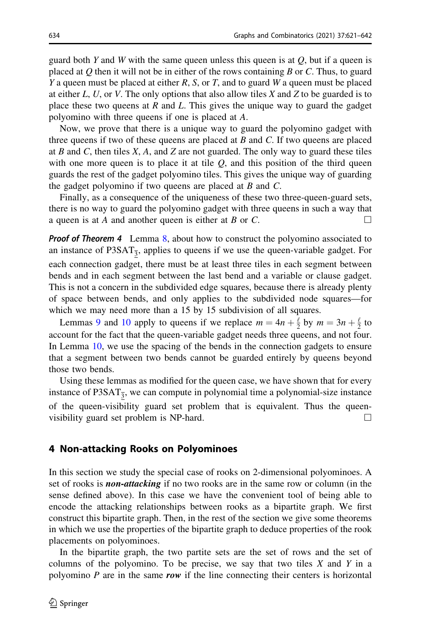<span id="page-13-0"></span>guard both Y and W with the same queen unless this queen is at  $Q$ , but if a queen is placed at Q then it will not be in either of the rows containing B or C. Thus, to guard Y a queen must be placed at either R, S, or T, and to guard W a queen must be placed at either L, U, or V. The only options that also allow tiles X and Z to be guarded is to place these two queens at  $R$  and  $L$ . This gives the unique way to guard the gadget polyomino with three queens if one is placed at A.

Now, we prove that there is a unique way to guard the polyomino gadget with three queens if two of these queens are placed at  $B$  and  $C$ . If two queens are placed at B and C, then tiles  $X$ , A, and Z are not guarded. The only way to guard these tiles with one more queen is to place it at tile  $Q$ , and this position of the third queen guards the rest of the gadget polyomino tiles. This gives the unique way of guarding the gadget polyomino if two queens are placed at  $B$  and  $C$ .

Finally, as a consequence of the uniqueness of these two three-queen-guard sets, there is no way to guard the polyomino gadget with three queens in such a way that a queen is at A and another queen is either at B or C.  $\Box$ 

**Proof of Theorem 4** Lemma [8,](#page-8-0) about how to construct the polyomino associated to an instance of P3SAT $_{\overline{3}}$ , applies to queens if we use the queen-variable gadget. For each connection gadget, there must be at least three tiles in each segment between bends and in each segment between the last bend and a variable or clause gadget. This is not a concern in the subdivided edge squares, because there is already plenty of space between bends, and only applies to the subdivided node squares—for which we may need more than a 15 by 15 subdivision of all squares.

Lemmas [9](#page-10-0) and [10](#page-11-0) apply to queens if we replace  $m = 4n + \frac{\ell}{2}$  by  $m = 3n + \frac{\ell}{2}$  to account for the fact that the queen-variable gadget needs three queens, and not four. In Lemma [10](#page-11-0), we use the spacing of the bends in the connection gadgets to ensure that a segment between two bends cannot be guarded entirely by queens beyond those two bends.

Using these lemmas as modified for the queen case, we have shown that for every instance of P3SAT $_{\overline{3}}$ , we can compute in polynomial time a polynomial-size instance of the queen-visibility guard set problem that is equivalent. Thus the queenvisibility guard set problem is NP-hard.  $\Box$ 

#### 4 Non-attacking Rooks on Polyominoes

In this section we study the special case of rooks on 2-dimensional polyominoes. A set of rooks is **non-attacking** if no two rooks are in the same row or column (in the sense defined above). In this case we have the convenient tool of being able to encode the attacking relationships between rooks as a bipartite graph. We first construct this bipartite graph. Then, in the rest of the section we give some theorems in which we use the properties of the bipartite graph to deduce properties of the rook placements on polyominoes.

In the bipartite graph, the two partite sets are the set of rows and the set of columns of the polyomino. To be precise, we say that two tiles  $X$  and  $Y$  in a polyomino  $P$  are in the same row if the line connecting their centers is horizontal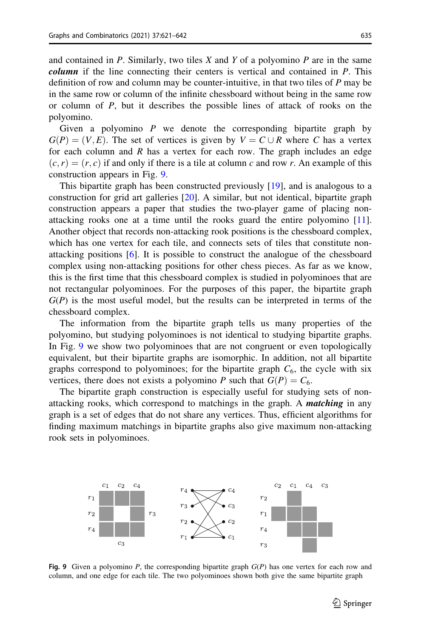and contained in  $P$ . Similarly, two tiles  $X$  and  $Y$  of a polyomino  $P$  are in the same column if the line connecting their centers is vertical and contained in P. This definition of row and column may be counter-intuitive, in that two tiles of  $P$  may be in the same row or column of the infinite chessboard without being in the same row or column of  $P$ , but it describes the possible lines of attack of rooks on the polyomino.

Given a polyomino  $P$  we denote the corresponding bipartite graph by  $G(P) = (V, E)$ . The set of vertices is given by  $V = C \cup R$  where C has a vertex for each column and  $R$  has a vertex for each row. The graph includes an edge  $(c, r) = (r, c)$  if and only if there is a tile at column c and row r. An example of this construction appears in Fig. 9.

This bipartite graph has been constructed previously [[19\]](#page-21-0), and is analogous to a construction for grid art galleries [[20\]](#page-21-0). A similar, but not identical, bipartite graph construction appears a paper that studies the two-player game of placing nonattacking rooks one at a time until the rooks guard the entire polyomino [[11\]](#page-20-0). Another object that records non-attacking rook positions is the chessboard complex, which has one vertex for each tile, and connects sets of tiles that constitute nonattacking positions [\[6](#page-20-0)]. It is possible to construct the analogue of the chessboard complex using non-attacking positions for other chess pieces. As far as we know, this is the first time that this chessboard complex is studied in polyominoes that are not rectangular polyominoes. For the purposes of this paper, the bipartite graph  $G(P)$  is the most useful model, but the results can be interpreted in terms of the chessboard complex.

The information from the bipartite graph tells us many properties of the polyomino, but studying polyominoes is not identical to studying bipartite graphs. In Fig. 9 we show two polyominoes that are not congruent or even topologically equivalent, but their bipartite graphs are isomorphic. In addition, not all bipartite graphs correspond to polyominoes; for the bipartite graph  $C_6$ , the cycle with six vertices, there does not exists a polyomino P such that  $G(P) = C_6$ .

The bipartite graph construction is especially useful for studying sets of nonattacking rooks, which correspond to matchings in the graph. A *matching* in any graph is a set of edges that do not share any vertices. Thus, efficient algorithms for finding maximum matchings in bipartite graphs also give maximum non-attacking rook sets in polyominoes.



Fig. 9 Given a polyomino  $P$ , the corresponding bipartite graph  $G(P)$  has one vertex for each row and column, and one edge for each tile. The two polyominoes shown both give the same bipartite graph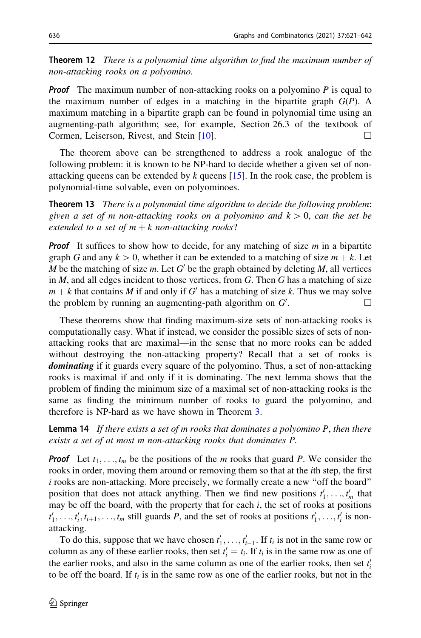<span id="page-15-0"></span>**Theorem 12** There is a polynomial time algorithm to find the maximum number of non-attacking rooks on a polyomino.

**Proof** The maximum number of non-attacking rooks on a polyomino  $P$  is equal to the maximum number of edges in a matching in the bipartite graph  $G(P)$ . A maximum matching in a bipartite graph can be found in polynomial time using an augmenting-path algorithm; see, for example, Section 26.3 of the textbook of Cormen, Leiserson, Rivest, and Stein  $[10]$  $[10]$ .

The theorem above can be strengthened to address a rook analogue of the following problem: it is known to be NP-hard to decide whether a given set of nonattacking queens can be extended by  $k$  queens [[15\]](#page-21-0). In the rook case, the problem is polynomial-time solvable, even on polyominoes.

**Theorem 13** There is a polynomial time algorithm to decide the following problem: given a set of m non-attacking rooks on a polyomino and  $k > 0$ , can the set be extended to a set of  $m + k$  non-attacking rooks?

**Proof** It suffices to show how to decide, for any matching of size  $m$  in a bipartite graph G and any  $k > 0$ , whether it can be extended to a matching of size  $m + k$ . Let M be the matching of size m. Let  $G'$  be the graph obtained by deleting M, all vertices in  $M$ , and all edges incident to those vertices, from  $G$ . Then  $G$  has a matching of size  $m + k$  that contains M if and only if G' has a matching of size k. Thus we may solve the problem by running an augmenting-path algorithm on  $G'$ . . Hence the contract of  $\Box$ 

These theorems show that finding maximum-size sets of non-attacking rooks is computationally easy. What if instead, we consider the possible sizes of sets of nonattacking rooks that are maximal—in the sense that no more rooks can be added without destroying the non-attacking property? Recall that a set of rooks is dominating if it guards every square of the polyomino. Thus, a set of non-attacking rooks is maximal if and only if it is dominating. The next lemma shows that the problem of finding the minimum size of a maximal set of non-attacking rooks is the same as finding the minimum number of rooks to guard the polyomino, and therefore is NP-hard as we have shown in Theorem [3](#page-3-0).

**Lemma 14** If there exists a set of m rooks that dominates a polyomino  $P$ , then there exists a set of at most m non-attacking rooks that dominates P.

**Proof** Let  $t_1, \ldots, t_m$  be the positions of the m rooks that guard P. We consider the rooks in order, moving them around or removing them so that at the ith step, the first i rooks are non-attacking. More precisely, we formally create a new ''off the board'' position that does not attack anything. Then we find new positions  $t'_1, \ldots, t'_m$  that may be off the board, with the property that for each  $i$ , the set of rooks at positions  $t'_1, \ldots, t'_i, t_{i+1}, \ldots, t_m$  still guards P, and the set of rooks at positions  $t'_1, \ldots, t'_i$  is nonattacking.

To do this, suppose that we have chosen  $t'_1, \ldots, t'_{i-1}$ . If  $t_i$  is not in the same row or column as any of these earlier rooks, then set  $t'_{i} = t_{i}$ . If  $t_{i}$  is in the same row as one of the earlier rooks, and also in the same column as one of the earlier rooks, then set  $t_i$ to be off the board. If  $t_i$  is in the same row as one of the earlier rooks, but not in the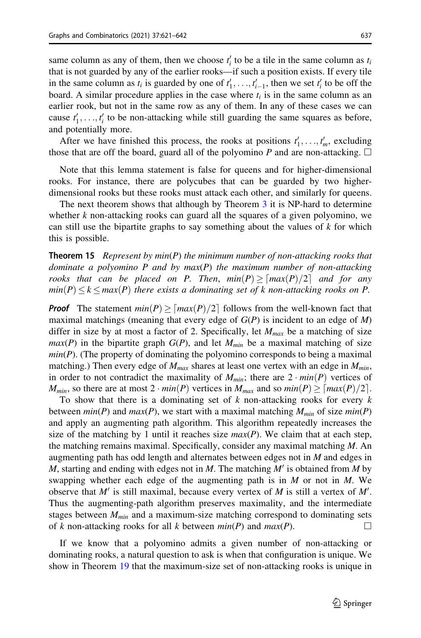<span id="page-16-0"></span>same column as any of them, then we choose  $t_i$  to be a tile in the same column as  $t_i$ that is not guarded by any of the earlier rooks—if such a position exists. If every tile in the same column as  $t_i$  is guarded by one of  $t'_1, \ldots, t'_{i-1}$ , then we set  $t'_i$  to be off the board. A similar procedure applies in the case where  $t_i$  is in the same column as an earlier rook, but not in the same row as any of them. In any of these cases we can cause  $t'_1, \ldots, t'_i$  to be non-attacking while still guarding the same squares as before, and potentially more.

After we have finished this process, the rooks at positions  $t'_1, \ldots, t'_m$ , excluding those that are off the board, guard all of the polyomino P and are non-attacking.  $\Box$ 

Note that this lemma statement is false for queens and for higher-dimensional rooks. For instance, there are polycubes that can be guarded by two higherdimensional rooks but these rooks must attack each other, and similarly for queens.

The next theorem shows that although by Theorem [3](#page-3-0) it is NP-hard to determine whether  $k$  non-attacking rooks can guard all the squares of a given polyomino, we can still use the bipartite graphs to say something about the values of  $k$  for which this is possible.

**Theorem 15** Represent by  $min(P)$  the minimum number of non-attacking rooks that dominate a polyomino  $P$  and by  $max(P)$  the maximum number of non-attacking rooks that can be placed on P. Then,  $min(P) \geq [max(P)/2]$  and for any  $min(P) \le k \le max(P)$  there exists a dominating set of k non-attacking rooks on P.

**Proof** The statement  $min(P) \geq max(P)/2$  follows from the well-known fact that maximal matchings (meaning that every edge of  $G(P)$  is incident to an edge of  $M$ ) differ in size by at most a factor of 2. Specifically, let  $M_{max}$  be a matching of size  $max(P)$  in the bipartite graph  $G(P)$ , and let  $M_{min}$  be a maximal matching of size  $min(P)$ . (The property of dominating the polyomino corresponds to being a maximal matching.) Then every edge of  $M_{max}$  shares at least one vertex with an edge in  $M_{min}$ , in order to not contradict the maximality of  $M_{min}$ ; there are  $2 \cdot min(P)$  vertices of  $M_{min}$ , so there are at most  $2 \cdot min(P)$  vertices in  $M_{max}$  and so  $min(P) \geq \lceil max(P)/2 \rceil$ .

To show that there is a dominating set of  $k$  non-attacking rooks for every  $k$ between  $min(P)$  and  $max(P)$ , we start with a maximal matching  $M_{min}$  of size  $min(P)$ and apply an augmenting path algorithm. This algorithm repeatedly increases the size of the matching by 1 until it reaches size  $max(P)$ . We claim that at each step, the matching remains maximal. Specifically, consider any maximal matching  $M$ . An augmenting path has odd length and alternates between edges not in  $M$  and edges in M, starting and ending with edges not in M. The matching  $M'$  is obtained from M by swapping whether each edge of the augmenting path is in  $M$  or not in  $M$ . We observe that  $M'$  is still maximal, because every vertex of  $M$  is still a vertex of  $M'$ . Thus the augmenting-path algorithm preserves maximality, and the intermediate stages between  $M_{min}$  and a maximum-size matching correspond to dominating sets of k non-attacking rooks for all k between  $min(P)$  and  $max(P)$ .

If we know that a polyomino admits a given number of non-attacking or dominating rooks, a natural question to ask is when that configuration is unique. We show in Theorem [19](#page-17-0) that the maximum-size set of non-attacking rooks is unique in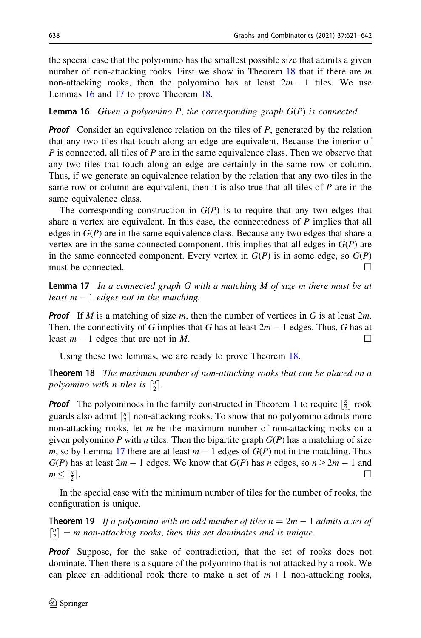<span id="page-17-0"></span>the special case that the polyomino has the smallest possible size that admits a given number of non-attacking rooks. First we show in Theorem 18 that if there are  $m$ non-attacking rooks, then the polyomino has at least  $2m - 1$  tiles. We use Lemmas 16 and 17 to prove Theorem 18.

**Lemma 16** Given a polyomino P, the corresponding graph  $G(P)$  is connected.

**Proof** Consider an equivalence relation on the tiles of  $P$ , generated by the relation that any two tiles that touch along an edge are equivalent. Because the interior of  $P$  is connected, all tiles of  $P$  are in the same equivalence class. Then we observe that any two tiles that touch along an edge are certainly in the same row or column. Thus, if we generate an equivalence relation by the relation that any two tiles in the same row or column are equivalent, then it is also true that all tiles of  $P$  are in the same equivalence class.

The corresponding construction in  $G(P)$  is to require that any two edges that share a vertex are equivalent. In this case, the connectedness of  $P$  implies that all edges in  $G(P)$  are in the same equivalence class. Because any two edges that share a vertex are in the same connected component, this implies that all edges in  $G(P)$  are in the same connected component. Every vertex in  $G(P)$  is in some edge, so  $G(P)$ must be connected.  $\Box$ 

**Lemma 17** In a connected graph G with a matching M of size m there must be at least  $m - 1$  edges not in the matching.

**Proof** If M is a matching of size m, then the number of vertices in G is at least  $2m$ . Then, the connectivity of G implies that G has at least  $2m - 1$  edges. Thus, G has at least  $m-1$  edges that are not in M.

Using these two lemmas, we are ready to prove Theorem 18.

**Theorem 18** The maximum number of non-attacking rooks that can be placed on a polyomino with n tiles is  $\lceil \frac{n}{2} \rceil$ .

**Proof** The polyominoes in the family constructed in Theorem [1](#page-2-0) to require  $\left\lfloor \frac{n}{2} \right\rfloor$  rook guards also admit  $\lceil \frac{n}{2} \rceil$  non-attacking rooks. To show that no polyomino admits more non-attacking rooks, let  $m$  be the maximum number of non-attacking rooks on a given polyomino P with n tiles. Then the bipartite graph  $G(P)$  has a matching of size m, so by Lemma 17 there are at least  $m - 1$  edges of  $G(P)$  not in the matching. Thus  $G(P)$  has at least  $2m - 1$  edges. We know that  $G(P)$  has n edges, so  $n \ge 2m - 1$  and  $m \leq \lceil \frac{n}{2} \rceil$ .  $\frac{n}{2}$ .

In the special case with the minimum number of tiles for the number of rooks, the configuration is unique.

**Theorem 19** If a polyomino with an odd number of tiles  $n = 2m - 1$  admits a set of  $\lceil \frac{n}{2} \rceil = m$  non-attacking rooks, then this set dominates and is unique.

**Proof** Suppose, for the sake of contradiction, that the set of rooks does not dominate. Then there is a square of the polyomino that is not attacked by a rook. We can place an additional rook there to make a set of  $m + 1$  non-attacking rooks,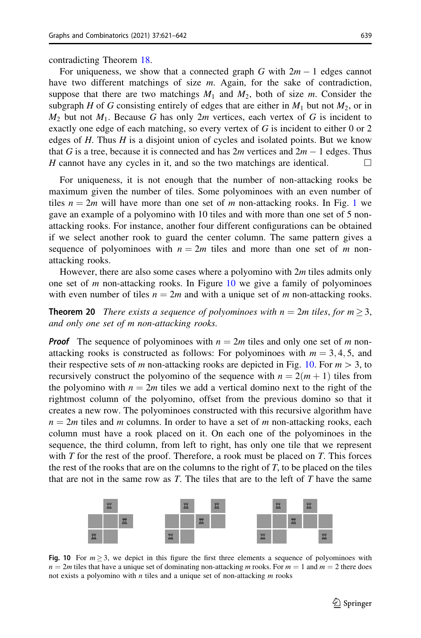contradicting Theorem [18.](#page-17-0)

For uniqueness, we show that a connected graph G with  $2m - 1$  edges cannot have two different matchings of size  $m$ . Again, for the sake of contradiction, suppose that there are two matchings  $M_1$  and  $M_2$ , both of size m. Consider the subgraph H of G consisting entirely of edges that are either in  $M_1$  but not  $M_2$ , or in  $M_2$  but not  $M_1$ . Because G has only 2m vertices, each vertex of G is incident to exactly one edge of each matching, so every vertex of G is incident to either 0 or 2 edges of  $H$ . Thus  $H$  is a disjoint union of cycles and isolated points. But we know that G is a tree, because it is connected and has  $2m$  vertices and  $2m - 1$  edges. Thus H cannot have any cycles in it, and so the two matchings are identical.  $\Box$ 

For uniqueness, it is not enough that the number of non-attacking rooks be maximum given the number of tiles. Some polyominoes with an even number of tiles  $n = 2m$  will have more than one set of m non-attacking rooks. In Fig. [1](#page-3-0) we gave an example of a polyomino with 10 tiles and with more than one set of 5 nonattacking rooks. For instance, another four different configurations can be obtained if we select another rook to guard the center column. The same pattern gives a sequence of polyominoes with  $n = 2m$  tiles and more than one set of m nonattacking rooks.

However, there are also some cases where a polyomino with  $2m$  tiles admits only one set of  $m$  non-attacking rooks. In Figure 10 we give a family of polyominoes with even number of tiles  $n = 2m$  and with a unique set of m non-attacking rooks.

**Theorem 20** There exists a sequence of polyominoes with  $n = 2m$  tiles, for  $m \geq 3$ , and only one set of m non-attacking rooks.

**Proof** The sequence of polyominoes with  $n = 2m$  tiles and only one set of m nonattacking rooks is constructed as follows: For polyominoes with  $m = 3, 4, 5$ , and their respective sets of m non-attacking rooks are depicted in Fig. 10. For  $m > 3$ , to recursively construct the polyomino of the sequence with  $n = 2(m + 1)$  tiles from the polyomino with  $n = 2m$  tiles we add a vertical domino next to the right of the rightmost column of the polyomino, offset from the previous domino so that it creates a new row. The polyominoes constructed with this recursive algorithm have  $n = 2m$  tiles and m columns. In order to have a set of m non-attacking rooks, each column must have a rook placed on it. On each one of the polyominoes in the sequence, the third column, from left to right, has only one tile that we represent with  $T$  for the rest of the proof. Therefore, a rook must be placed on  $T$ . This forces the rest of the rooks that are on the columns to the right of  $T$ , to be placed on the tiles that are not in the same row as  $T$ . The tiles that are to the left of  $T$  have the same



Fig. 10 For  $m \geq 3$ , we depict in this figure the first three elements a sequence of polyominoes with  $n = 2m$  tiles that have a unique set of dominating non-attacking m rooks. For  $m = 1$  and  $m = 2$  there does not exists a polyomino with  $n$  tiles and a unique set of non-attacking  $m$  rooks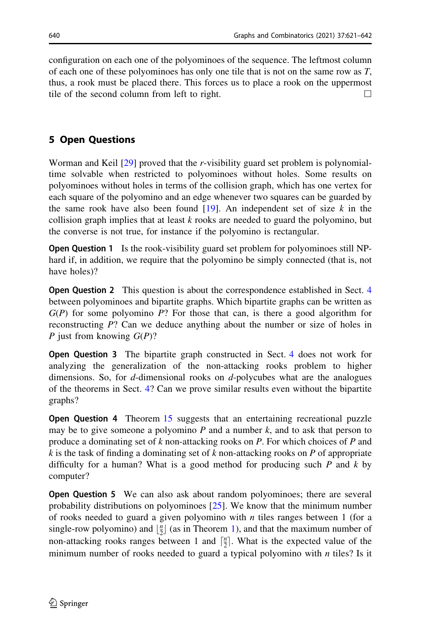configuration on each one of the polyominoes of the sequence. The leftmost column of each one of these polyominoes has only one tile that is not on the same row as  $T$ , thus, a rook must be placed there. This forces us to place a rook on the uppermost tile of the second column from left to right.  $\Box$ 

## 5 Open Questions

Worman and Keil  $[29]$  $[29]$  proved that the r-visibility guard set problem is polynomialtime solvable when restricted to polyominoes without holes. Some results on polyominoes without holes in terms of the collision graph, which has one vertex for each square of the polyomino and an edge whenever two squares can be guarded by the same rook have also been found  $[19]$ . An independent set of size k in the collision graph implies that at least  $k$  rooks are needed to guard the polyomino, but the converse is not true, for instance if the polyomino is rectangular.

Open Question 1 Is the rook-visibility guard set problem for polyominoes still NPhard if, in addition, we require that the polyomino be simply connected (that is, not have holes)?

**Open Question 2** This question is about the correspondence established in Sect. [4](#page-13-0) between polyominoes and bipartite graphs. Which bipartite graphs can be written as  $G(P)$  for some polyomino P? For those that can, is there a good algorithm for reconstructing P? Can we deduce anything about the number or size of holes in P just from knowing  $G(P)$ ?

Open Question 3 The bipartite graph constructed in Sect. [4](#page-13-0) does not work for analyzing the generalization of the non-attacking rooks problem to higher dimensions. So, for d-dimensional rooks on d-polycubes what are the analogues of the theorems in Sect. [4](#page-13-0)? Can we prove similar results even without the bipartite graphs?

**Open Question 4** Theorem [15](#page-16-0) suggests that an entertaining recreational puzzle may be to give someone a polyomino  $P$  and a number  $k$ , and to ask that person to produce a dominating set of k non-attacking rooks on P. For which choices of P and k is the task of finding a dominating set of  $k$  non-attacking rooks on  $P$  of appropriate difficulty for a human? What is a good method for producing such  $P$  and  $k$  by computer?

Open Question 5 We can also ask about random polyominoes; there are several probability distributions on polyominoes [[25\]](#page-21-0). We know that the minimum number of rooks needed to guard a given polyomino with  $n$  tiles ranges between 1 (for a single-row polyomino) and  $\lfloor \frac{n}{2} \rfloor$  (as in Theorem [1](#page-2-0)), and that the maximum number of non-attacking rooks ranges between 1 and  $\lceil \frac{n}{2} \rceil$ . What is the expected value of the minimum number of rooks needed to guard a typical polyomino with  $n$  tiles? Is it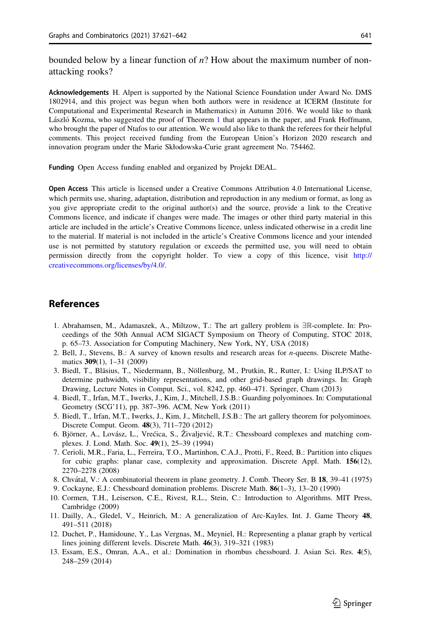<span id="page-20-0"></span>bounded below by a linear function of  $n$ ? How about the maximum number of nonattacking rooks?

Acknowledgements H. Alpert is supported by the National Science Foundation under Award No. DMS 1802914, and this project was begun when both authors were in residence at ICERM (Institute for Computational and Experimental Research in Mathematics) in Autumn 2016. We would like to thank László Kozma, who suggested the proof of Theorem [1](#page-2-0) that appears in the paper, and Frank Hoffmann, who brought the paper of Ntafos to our attention. We would also like to thank the referees for their helpful comments. This project received funding from the European Union's Horizon 2020 research and innovation program under the Marie Skłodowska-Curie grant agreement No. 754462.

Funding Open Access funding enabled and organized by Projekt DEAL.

Open Access This article is licensed under a Creative Commons Attribution 4.0 International License, which permits use, sharing, adaptation, distribution and reproduction in any medium or format, as long as you give appropriate credit to the original author(s) and the source, provide a link to the Creative Commons licence, and indicate if changes were made. The images or other third party material in this article are included in the article's Creative Commons licence, unless indicated otherwise in a credit line to the material. If material is not included in the article's Creative Commons licence and your intended use is not permitted by statutory regulation or exceeds the permitted use, you will need to obtain permission directly from the copyright holder. To view a copy of this licence, visit [http://](http://creativecommons.org/licenses/by/4.0/) [creativecommons.org/licenses/by/4.0/.](http://creativecommons.org/licenses/by/4.0/)

## References

- 1. Abrahamsen, M., Adamaszek, A., Miltzow, T.: The art gallery problem is  $\exists \mathbb{R}$ -complete. In: Proceedings of the 50th Annual ACM SIGACT Symposium on Theory of Computing, STOC 2018, p. 65–73. Association for Computing Machinery, New York, NY, USA (2018)
- 2. Bell, J., Stevens, B.: A survey of known results and research areas for n-queens. Discrete Mathematics 309(1), 1–31 (2009)
- 3. Biedl, T., Bläsius, T., Niedermann, B., Nöllenburg, M., Prutkin, R., Rutter, I.: Using ILP/SAT to determine pathwidth, visibility representations, and other grid-based graph drawings. In: Graph Drawing, Lecture Notes in Comput. Sci., vol. 8242, pp. 460–471. Springer, Cham (2013)
- 4. Biedl, T., Irfan, M.T., Iwerks, J., Kim, J., Mitchell, J.S.B.: Guarding polyominoes. In: Computational Geometry (SCG'11), pp. 387–396. ACM, New York (2011)
- 5. Biedl, T., Irfan, M.T., Iwerks, J., Kim, J., Mitchell, J.S.B.: The art gallery theorem for polyominoes. Discrete Comput. Geom. 48(3), 711–720 (2012)
- 6. Björner, A., Lovász, L., Vrećica, S., Živaljević, R.T.: Chessboard complexes and matching complexes. J. Lond. Math. Soc. 49(1), 25–39 (1994)
- 7. Cerioli, M.R., Faria, L., Ferreira, T.O., Martinhon, C.A.J., Protti, F., Reed, B.: Partition into cliques for cubic graphs: planar case, complexity and approximation. Discrete Appl. Math. 156(12), 2270–2278 (2008)
- 8. Chvátal, V.: A combinatorial theorem in plane geometry. J. Comb. Theory Ser. B 18, 39–41 (1975)
- 9. Cockayne, E.J.: Chessboard domination problems. Discrete Math. 86(1–3), 13–20 (1990)
- 10. Cormen, T.H., Leiserson, C.E., Rivest, R.L., Stein, C.: Introduction to Algorithms. MIT Press, Cambridge (2009)
- 11. Dailly, A., Gledel, V., Heinrich, M.: A generalization of Arc-Kayles. Int. J. Game Theory 48, 491–511 (2018)
- 12. Duchet, P., Hamidoune, Y., Las Vergnas, M., Meyniel, H.: Representing a planar graph by vertical lines joining different levels. Discrete Math. 46(3), 319–321 (1983)
- 13. Essam, E.S., Omran, A.A., et al.: Domination in rhombus chessboard. J. Asian Sci. Res. 4(5), 248–259 (2014)